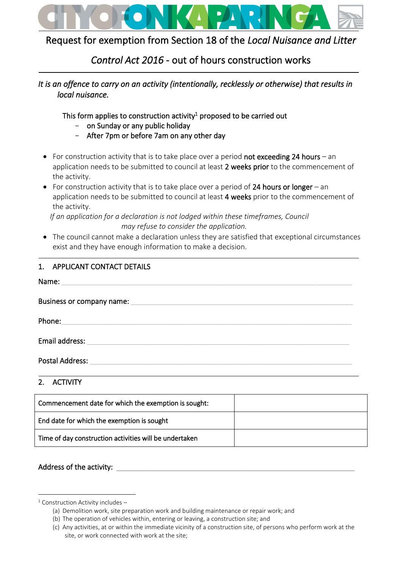

# Request for exemption from Section 18 of the *Local Nuisance and Litter*

# *Control Act 2016* - out of hours construction works

# *It is an offence to carry on an activity (intentionally, recklessly or otherwise) that results in local nuisance.*

This form applies to construction activity<sup>1</sup> proposed to be carried out

- on Sunday or any public holiday
- After 7pm or before 7am on any other day
- For construction activity that is to take place over a period not exceeding 24 hours an application needs to be submitted to council at least 2 weeks prior to the commencement of the activity.
- For construction activity that is to take place over a period of 24 hours or longer an application needs to be submitted to council at least 4 weeks prior to the commencement of the activity.

*If an application for a declaration is not lodged within these timeframes, Council may refuse to consider the application.*

• The council cannot make a declaration unless they are satisfied that exceptional circumstances exist and they have enough information to make a decision.

| 1. APPLICANT CONTACT DETAILS |
|------------------------------|
|                              |

| Name:                     |
|---------------------------|
| Business or company name: |
| Phone:                    |
| Email address:            |
| <b>Postal Address:</b>    |
| <b>ACTIVITY</b>           |

| Z. ACIVIII                                             |  |
|--------------------------------------------------------|--|
| Commencement date for which the exemption is sought:   |  |
| End date for which the exemption is sought             |  |
| Time of day construction activities will be undertaken |  |

# Address of the activity:

 $1$  Construction Activity includes –

<sup>(</sup>a) Demolition work, site preparation work and building maintenance or repair work; and

<sup>(</sup>b) The operation of vehicles within, entering or leaving, a construction site; and

<sup>(</sup>c) Any activities, at or within the immediate vicinity of a construction site, of persons who perform work at the site, or work connected with work at the site;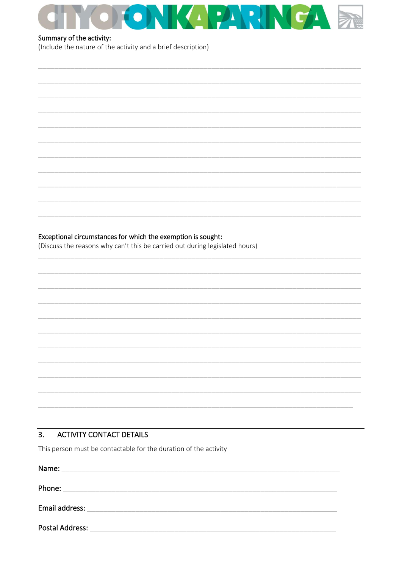

## Summary of the activity:

(Include the nature of the activity and a brief description)

|  | Exceptional circumstances for which the exemption is sought: |  |  |  |
|--|--------------------------------------------------------------|--|--|--|
|--|--------------------------------------------------------------|--|--|--|

(Discuss the reasons why can't this be carried out during legislated hours)

#### $3<sub>1</sub>$ **ACTIVITY CONTACT DETAILS**

This person must be contactable for the duration of the activity

| Name:           |  |  |  |
|-----------------|--|--|--|
| Phone:          |  |  |  |
| Email address:  |  |  |  |
| Postal Address: |  |  |  |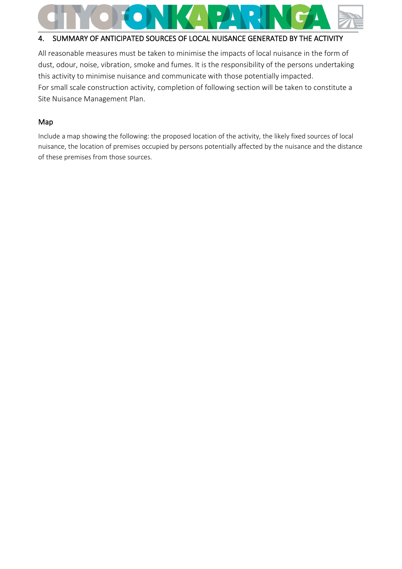

# 4. SUMMARY OF ANTICIPATED SOURCES OF LOCAL NUISANCE GENERATED BY THE ACTIVITY

All reasonable measures must be taken to minimise the impacts of local nuisance in the form of dust, odour, noise, vibration, smoke and fumes. It is the responsibility of the persons undertaking this activity to minimise nuisance and communicate with those potentially impacted. For small scale construction activity, completion of following section will be taken to constitute a Site Nuisance Management Plan.

## Map

Include a map showing the following: the proposed location of the activity, the likely fixed sources of local nuisance, the location of premises occupied by persons potentially affected by the nuisance and the distance of these premises from those sources.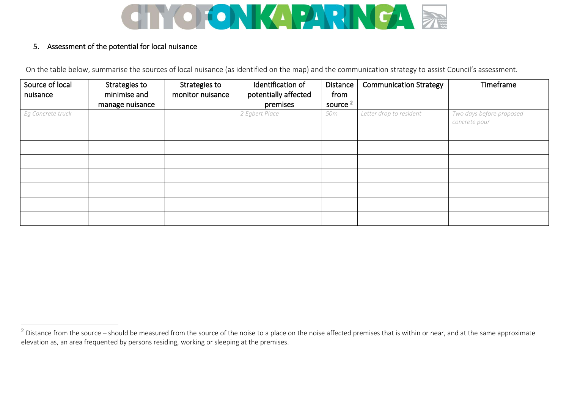

## 5. Assessment of the potential for local nuisance

On the table below, summarise the sources of local nuisance (as identified on the map) and the communication strategy to assist Council's assessment.

| Source of local<br>nuisance | Strategies to<br>minimise and<br>manage nuisance | Strategies to<br>monitor nuisance | Identification of<br>potentially affected<br>premises | Distance<br>from<br>source <sup>2</sup> | <b>Communication Strategy</b> | Timeframe                                 |
|-----------------------------|--------------------------------------------------|-----------------------------------|-------------------------------------------------------|-----------------------------------------|-------------------------------|-------------------------------------------|
| Eg Concrete truck           |                                                  |                                   | 2 Egbert Place                                        | 50m                                     | Letter drop to resident       | Two days before proposed<br>concrete pour |
|                             |                                                  |                                   |                                                       |                                         |                               |                                           |
|                             |                                                  |                                   |                                                       |                                         |                               |                                           |
|                             |                                                  |                                   |                                                       |                                         |                               |                                           |
|                             |                                                  |                                   |                                                       |                                         |                               |                                           |
|                             |                                                  |                                   |                                                       |                                         |                               |                                           |

<sup>&</sup>lt;sup>2</sup> Distance from the source – should be measured from the source of the noise to a place on the noise affected premises that is within or near, and at the same approximate elevation as, an area frequented by persons residing, working or sleeping at the premises.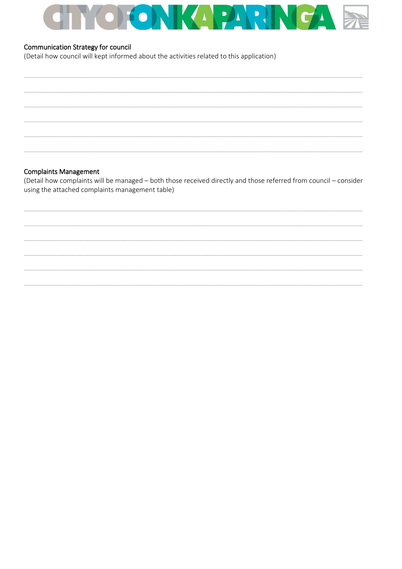

#### **Communication Strategy for council**

(Detail how council will kept informed about the activities related to this application)

#### **Complaints Management**

(Detail how complaints will be managed - both those received directly and those referred from council - consider using the attached complaints management table)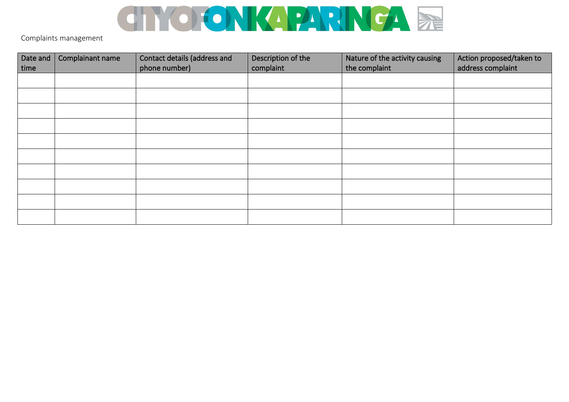

Complaints management

| Date and | Complainant name | Contact details (address and | Description of the | Nature of the activity causing | Action proposed/taken to |
|----------|------------------|------------------------------|--------------------|--------------------------------|--------------------------|
| time     |                  | phone number)                | complaint          | the complaint                  | address complaint        |
|          |                  |                              |                    |                                |                          |
|          |                  |                              |                    |                                |                          |
|          |                  |                              |                    |                                |                          |
|          |                  |                              |                    |                                |                          |
|          |                  |                              |                    |                                |                          |
|          |                  |                              |                    |                                |                          |
|          |                  |                              |                    |                                |                          |
|          |                  |                              |                    |                                |                          |
|          |                  |                              |                    |                                |                          |
|          |                  |                              |                    |                                |                          |